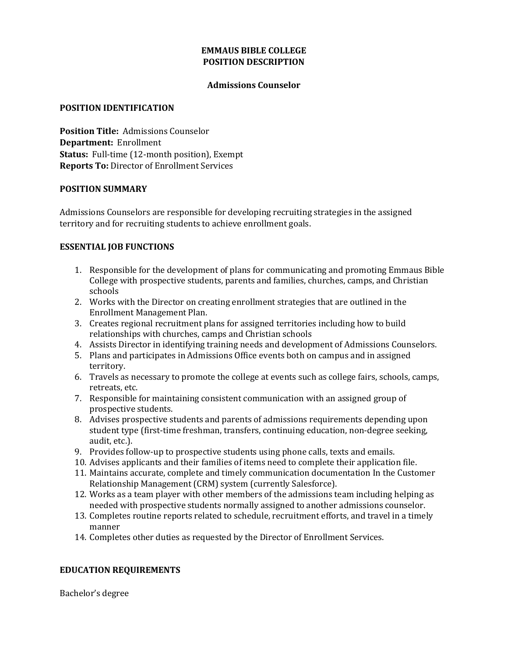# **EMMAUS BIBLE COLLEGE POSITION DESCRIPTION**

### **Admissions Counselor**

### **POSITION IDENTIFICATION**

**Position Title:** Admissions Counselor **Department:** Enrollment **Status:** Full-time (12-month position), Exempt **Reports To:** Director of Enrollment Services

## **POSITION SUMMARY**

Admissions Counselors are responsible for developing recruiting strategies in the assigned territory and for recruiting students to achieve enrollment goals.

## **ESSENTIAL JOB FUNCTIONS**

- 1. Responsible for the development of plans for communicating and promoting Emmaus Bible College with prospective students, parents and families, churches, camps, and Christian schools
- 2. Works with the Director on creating enrollment strategies that are outlined in the Enrollment Management Plan.
- 3. Creates regional recruitment plans for assigned territories including how to build relationships with churches, camps and Christian schools
- 4. Assists Director in identifying training needs and development of Admissions Counselors.
- 5. Plans and participates in Admissions Office events both on campus and in assigned territory.
- 6. Travels as necessary to promote the college at events such as college fairs, schools, camps, retreats, etc.
- 7. Responsible for maintaining consistent communication with an assigned group of prospective students.
- 8. Advises prospective students and parents of admissions requirements depending upon student type (first-time freshman, transfers, continuing education, non-degree seeking, audit, etc.).
- 9. Provides follow-up to prospective students using phone calls, texts and emails.
- 10. Advises applicants and their families of items need to complete their application file.
- 11. Maintains accurate, complete and timely communication documentation In the Customer Relationship Management (CRM) system (currently Salesforce).
- 12. Works as a team player with other members of the admissions team including helping as needed with prospective students normally assigned to another admissions counselor.
- 13. Completes routine reports related to schedule, recruitment efforts, and travel in a timely manner
- 14. Completes other duties as requested by the Director of Enrollment Services.

## **EDUCATION REQUIREMENTS**

Bachelor's degree